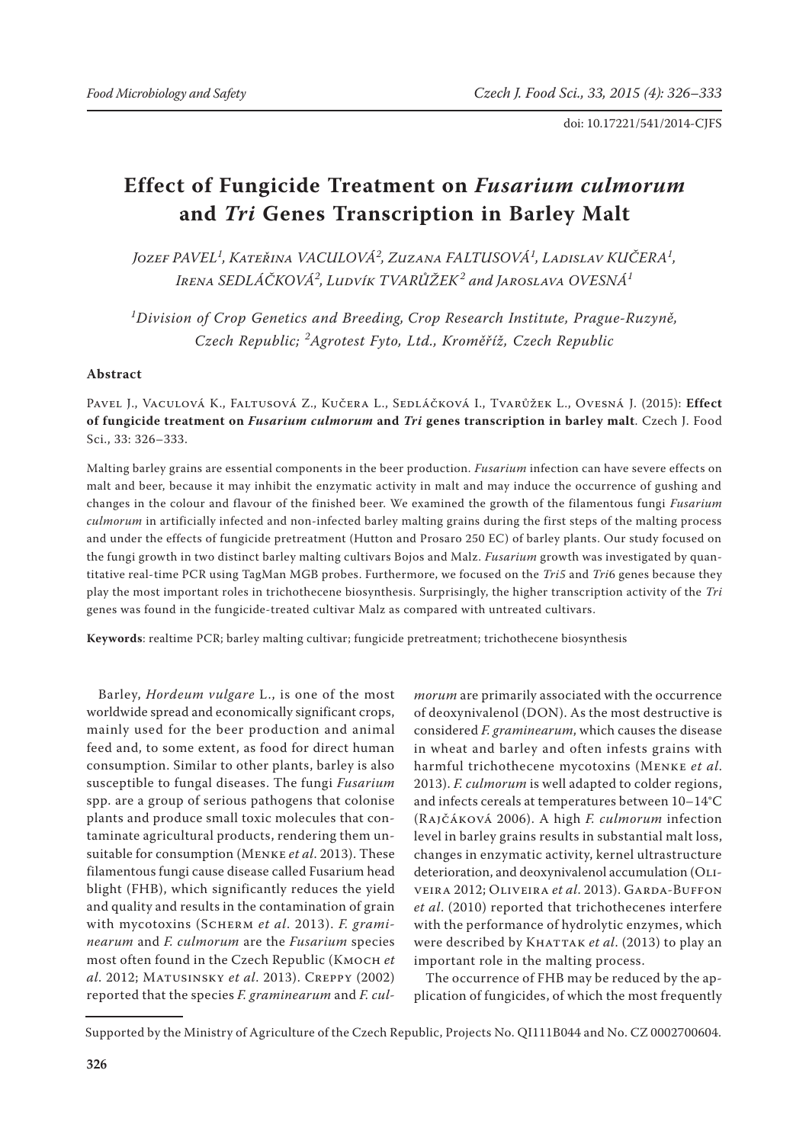# **Effect of Fungicide Treatment on** *Fusarium culmorum* **and** *Tri* **Genes Transcription in Barley Malt**

*Jozef PAVEL<sup>1</sup> , Kateřina VACULOVÁ<sup>2</sup> , Zuzana FALTUSOVÁ<sup>1</sup> , Ladislav KUČERA<sup>1</sup> , Irena SEDLÁČKOVÁ<sup>2</sup> , Ludvík TVARŮŽEK<sup>2</sup> and Jaroslava OVESNÁ<sup>1</sup>*

*1 Division of Crop Genetics and Breeding, Crop Research Institute, Prague-Ruzyně, Czech Republic; <sup>2</sup> Agrotest Fyto, Ltd., Kroměříž, Czech Republic*

# **Abstract**

Pavel J., Vaculová K., Faltusová Z., Kučera L., Sedláčková I., Tvarůžek L., Ovesná J. (2015): **Effect of fungicide treatment on** *Fusarium culmorum* **and** *Tri* **genes transcription in barley malt**. Czech J. Food Sci., 33: 326–333.

Malting barley grains are essential components in the beer production. *Fusarium* infection can have severe effects on malt and beer, because it may inhibit the enzymatic activity in malt and may induce the occurrence of gushing and changes in the colour and flavour of the finished beer. We examined the growth of the filamentous fungi *Fusarium culmorum* in artificially infected and non-infected barley malting grains during the first steps of the malting process and under the effects of fungicide pretreatment (Hutton and Prosaro 250 EC) of barley plants. Our study focused on the fungi growth in two distinct barley malting cultivars Bojos and Malz. *Fusarium* growth was investigated by quantitative real-time PCR using TagMan MGB probes. Furthermore, we focused on the *Tri5* and *Tri*6 genes because they play the most important roles in trichothecene biosynthesis. Surprisingly, the higher transcription activity of the *Tri* genes was found in the fungicide-treated cultivar Malz as compared with untreated cultivars.

**Keywords**: realtime PCR; barley malting cultivar; fungicide pretreatment; trichothecene biosynthesis

Barley, *Hordeum vulgare* L., is one of the most worldwide spread and economically significant crops, mainly used for the beer production and animal feed and, to some extent, as food for direct human consumption. Similar to other plants, barley is also susceptible to fungal diseases. The fungi *Fusarium* spp. are a group of serious pathogens that colonise plants and produce small toxic molecules that contaminate agricultural products, rendering them unsuitable for consumption (Menke *et al*. 2013). These filamentous fungi cause disease called Fusarium head blight (FHB), which significantly reduces the yield and quality and results in the contamination of grain with mycotoxins (Scherm *et al*. 2013). *F. graminearum* and *F. culmorum* are the *Fusarium* species most often found in the Czech Republic (Kmoch *et al*. 2012; Matusinsky *et al*. 2013). Creppy (2002) reported that the species *F. graminearum* and *F. cul-*

*morum* are primarily associated with the occurrence of deoxynivalenol (DON). As the most destructive is considered *F. graminearum*, which causes the disease in wheat and barley and often infests grains with harmful trichothecene mycotoxins (Menke *et al*. 2013). *F. culmorum* is well adapted to colder regions, and infects cereals at temperatures between 10–14°C (Rajčáková 2006). A high *F. culmorum* infection level in barley grains results in substantial malt loss, changes in enzymatic activity, kernel ultrastructure deterioration, and deoxynivalenol accumulation (Oliveira 2012; Oliveira *et al*. 2013). Garda-Buffon *et al*. (2010) reported that trichothecenes interfere with the performance of hydrolytic enzymes, which were described by KHATTAK et al. (2013) to play an important role in the malting process.

The occurrence of FHB may be reduced by the application of fungicides, of which the most frequently

Supported by the Ministry of Agriculture of the Czech Republic, Projects No. QI111B044 and No. CZ 0002700604.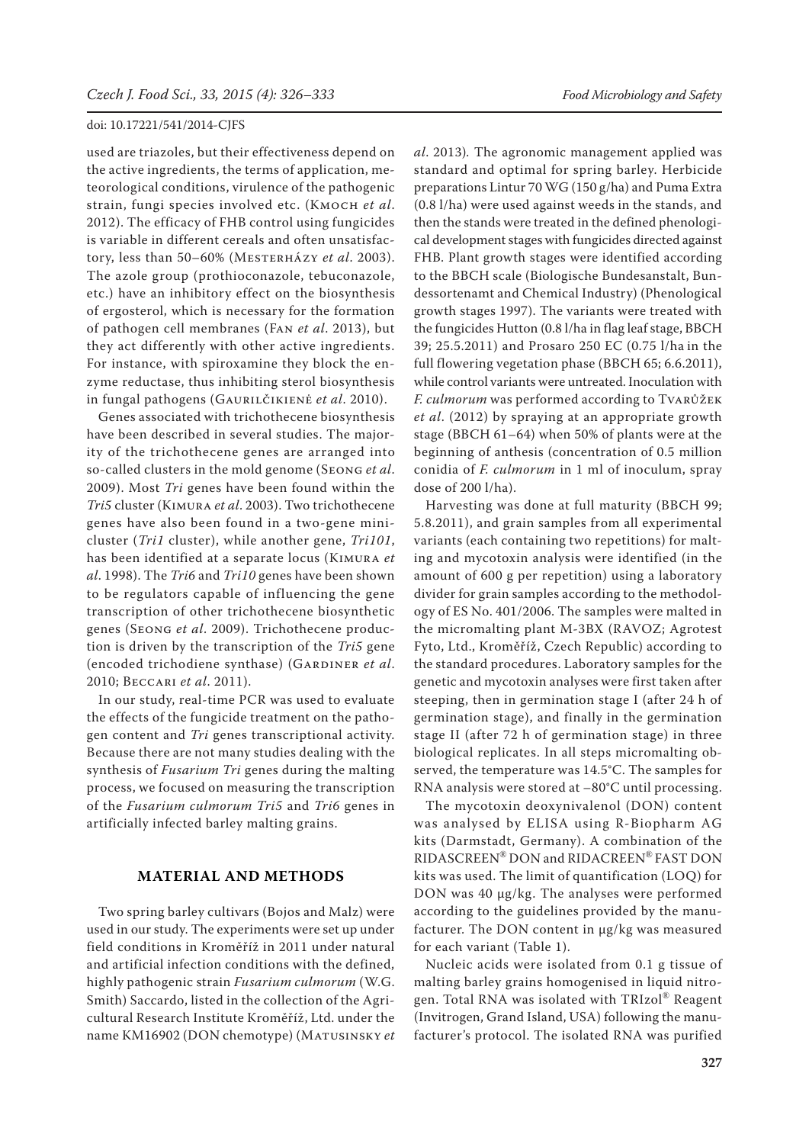used are triazoles, but their effectiveness depend on the active ingredients, the terms of application, meteorological conditions, virulence of the pathogenic strain, fungi species involved etc. (Kmoch *et al*. 2012). The efficacy of FHB control using fungicides is variable in different cereals and often unsatisfactory, less than 50–60% (Mesterházy *et al*. 2003). The azole group (prothioconazole, tebuconazole, etc.) have an inhibitory effect on the biosynthesis of ergosterol, which is necessary for the formation of pathogen cell membranes (Fan *et al*. 2013), but they act differently with other active ingredients. For instance, with spiroxamine they block the enzyme reductase, thus inhibiting sterol biosynthesis in fungal pathogens (Gaurilčikienė *et al*. 2010).

Genes associated with trichothecene biosynthesis have been described in several studies. The majority of the trichothecene genes are arranged into so-called clusters in the mold genome (Seong *et al*. 2009). Most *Tri* genes have been found within the *Tri5* cluster (Kimura *et al*. 2003). Two trichothecene genes have also been found in a two-gene minicluster (*Tri1* cluster), while another gene, *Tri101*, has been identified at a separate locus (Kimura *et al*. 1998). The *Tri6* and *Tri10* genes have been shown to be regulators capable of influencing the gene transcription of other trichothecene biosynthetic genes (Seong *et al*. 2009). Trichothecene production is driven by the transcription of the *Tri5* gene (encoded trichodiene synthase) (GARDINER et al. 2010; Beccari *et al*. 2011).

In our study, real-time PCR was used to evaluate the effects of the fungicide treatment on the pathogen content and *Tri* genes transcriptional activity. Because there are not many studies dealing with the synthesis of *Fusarium Tri* genes during the malting process, we focused on measuring the transcription of the *Fusarium culmorum Tri5* and *Tri6* genes in artificially infected barley malting grains.

# **MATERIAL AND METHODS**

Two spring barley cultivars (Bojos and Malz) were used in our study. The experiments were set up under field conditions in Kroměříž in 2011 under natural and artificial infection conditions with the defined, highly pathogenic strain *Fusarium culmorum* (W.G. Smith) Saccardo, listed in the collection of the Agricultural Research Institute Kroměříž, Ltd. under the name KM16902 (DON chemotype) (Matusinsky *et*  *al*. 2013)*.* The agronomic management applied was standard and optimal for spring barley. Herbicide preparations Lintur 70 WG (150 g/ha) and Puma Extra (0.8 l/ha) were used against weeds in the stands, and then the stands were treated in the defined phenological development stages with fungicides directed against FHB. Plant growth stages were identified according to the BBCH scale (Biologische Bundesanstalt, Bundessortenamt and Chemical Industry) (Phenological growth stages 1997). The variants were treated with the fungicides Hutton (0.8 l/ha in flag leaf stage, BBCH 39; 25.5.2011) and Prosaro 250 EC (0.75 l/ha in the full flowering vegetation phase (BBCH 65; 6.6.2011), while control variants were untreated. Inoculation with *F. culmorum* was performed according to Tvarůžek *et al*. (2012) by spraying at an appropriate growth stage (BBCH 61–64) when 50% of plants were at the beginning of anthesis (concentration of 0.5 million conidia of *F. culmorum* in 1 ml of inoculum, spray dose of 200 l/ha).

Harvesting was done at full maturity (BBCH 99; 5.8.2011), and grain samples from all experimental variants (each containing two repetitions) for malting and mycotoxin analysis were identified (in the amount of 600 g per repetition) using a laboratory divider for grain samples according to the methodology of ES No. 401/2006. The samples were malted in the micromalting plant M-3BX (RAVOZ; Agrotest Fyto, Ltd., Kroměříž, Czech Republic) according to the standard procedures. Laboratory samples for the genetic and mycotoxin analyses were first taken after steeping, then in germination stage I (after 24 h of germination stage), and finally in the germination stage II (after 72 h of germination stage) in three biological replicates. In all steps micromalting observed, the temperature was 14.5°C. The samples for RNA analysis were stored at –80°C until processing.

The mycotoxin deoxynivalenol (DON) content was analysed by ELISA using R-Biopharm AG kits (Darmstadt, Germany). A combination of the RIDASCREEN® DON and RIDACREEN® FAST DON kits was used. The limit of quantification (LOQ) for DON was 40 µg/kg. The analyses were performed according to the guidelines provided by the manufacturer. The DON content in µg/kg was measured for each variant (Table 1).

Nucleic acids were isolated from 0.1 g tissue of malting barley grains homogenised in liquid nitrogen. Total RNA was isolated with TRIzol® Reagent (Invitrogen, Grand Island, USA) following the manufacturer's protocol. The isolated RNA was purified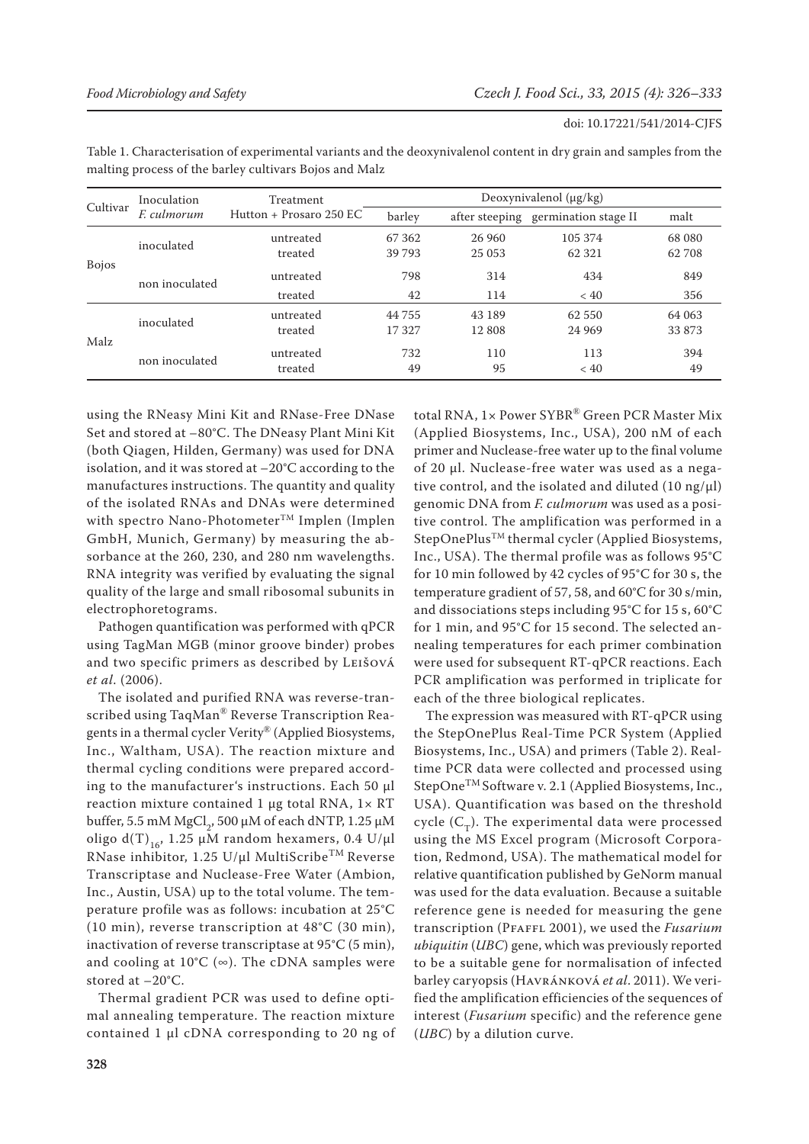| doi: 10.17221/541/2014-CJFS |
|-----------------------------|
|-----------------------------|

| Inoculation<br><i>E. culmorum</i> | Treatment<br>Hutton + Prosaro 250 EC       | Deoxynivalenol $(\mu g/kg)$ |        |         |                                             |
|-----------------------------------|--------------------------------------------|-----------------------------|--------|---------|---------------------------------------------|
|                                   |                                            | barley                      |        |         | malt                                        |
|                                   | untreated                                  | 67 362                      | 26 960 | 105 374 | 68 080                                      |
|                                   | treated                                    | 39 793                      | 25 053 | 62 321  | 62 708                                      |
|                                   | untreated                                  | 798                         | 314    | 434     | 849                                         |
|                                   | treated                                    | 42                          | 114    | < 40    | 356                                         |
|                                   | untreated                                  | 44 755                      | 43 189 | 62 550  | 64 063                                      |
|                                   | treated                                    | 17327                       | 12 808 | 24 9 69 | 33 873                                      |
| non inoculated                    | untreated                                  | 732                         | 110    | 113     | 394<br>49                                   |
|                                   | inoculated<br>non inoculated<br>inoculated | treated                     | 49     | 95      | after steeping germination stage II<br>< 40 |

Table 1. Characterisation of experimental variants and the deoxynivalenol content in dry grain and samples from the malting process of the barley cultivars Bojos and Malz

using the RNeasy Mini Kit and RNase-Free DNase Set and stored at –80°C. The DNeasy Plant Mini Kit (both Qiagen, Hilden, Germany) was used for DNA isolation, and it was stored at –20°C according to the manufactures instructions. The quantity and quality of the isolated RNAs and DNAs were determined with spectro Nano-Photometer  $^{\mbox{{\tiny{\textsf{T}}}\mbox{M}}}$  Implen (Implen GmbH, Munich, Germany) by measuring the absorbance at the 260, 230, and 280 nm wavelengths. RNA integrity was verified by evaluating the signal quality of the large and small ribosomal subunits in electrophoretograms.

Pathogen quantification was performed with qPCR using TagMan MGB (minor groove binder) probes and two specific primers as described by Leišová *et al*. (2006).

The isolated and purified RNA was reverse-transcribed using TaqMan® Reverse Transcription Reagents in a thermal cycler Verity® (Applied Biosystems, Inc., Waltham, USA). The reaction mixture and thermal cycling conditions were prepared according to the manufacturer's instructions. Each 50 µl reaction mixture contained 1  $\mu$ g total RNA, 1 $\times$  RT buffer, 5.5 mM  $\mathrm{MgCl}_{2}$ , 500 µM of each dNTP, 1.25 µM oligo d(T)<sub>16</sub>, 1.25 µM random hexamers, 0.4 U/µl RNase inhibitor, 1.25 U/µl MultiScribe<sup>TM</sup> Reverse Transcriptase and Nuclease-Free Water (Ambion, Inc., Austin, USA) up to the total volume. The temperature profile was as follows: incubation at 25°C (10 min), reverse transcription at 48°C (30 min), inactivation of reverse transcriptase at 95°C (5 min), and cooling at  $10^{\circ}C$  ( $\infty$ ). The cDNA samples were stored at –20°C.

Thermal gradient PCR was used to define optimal annealing temperature. The reaction mixture contained 1 µl cDNA corresponding to 20 ng of

total RNA, 1× Power SYBR® Green PCR Master Mix (Applied Biosystems, Inc., USA), 200 nM of each primer and Nuclease-free water up to the final volume of 20 µl. Nuclease-free water was used as a negative control, and the isolated and diluted  $(10 \text{ ng}/\mu l)$ genomic DNA from *F. culmorum* was used as a positive control. The amplification was performed in a StepOnePlus<sup>™</sup> thermal cycler (Applied Biosystems, Inc., USA). The thermal profile was as follows 95°C for 10 min followed by 42 cycles of 95°C for 30 s, the temperature gradient of 57, 58, and 60°C for 30 s/min, and dissociations steps including 95°C for 15 s, 60°C for 1 min, and 95°C for 15 second. The selected annealing temperatures for each primer combination were used for subsequent RT-qPCR reactions. Each PCR amplification was performed in triplicate for each of the three biological replicates.

The expression was measured with RT-qPCR using the StepOnePlus Real-Time PCR System (Applied Biosystems, Inc., USA) and primers (Table 2). Realtime PCR data were collected and processed using StepOneTM Software v. 2.1 (Applied Biosystems, Inc., USA). Quantification was based on the threshold cycle  $(C_T)$ . The experimental data were processed using the MS Excel program (Microsoft Corporation, Redmond, USA). The mathematical model for relative quantification published by GeNorm manual was used for the data evaluation. Because a suitable reference gene is needed for measuring the gene transcription (Pfaffl 2001), we used the *Fusarium ubiquitin* (*UBC*) gene, which was previously reported to be a suitable gene for normalisation of infected barley caryopsis (Havránková *et al*. 2011). We verified the amplification efficiencies of the sequences of interest (*Fusarium* specific) and the reference gene (*UBC*) by a dilution curve.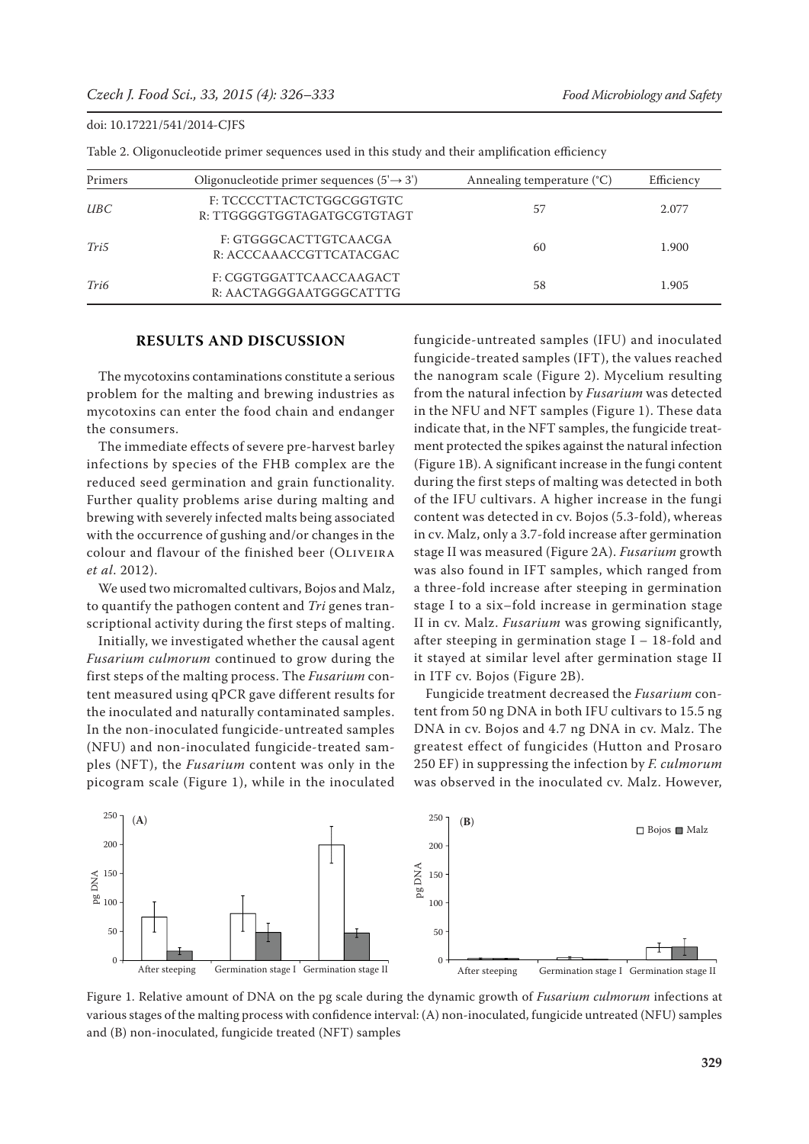| Primers    | Oligonucleotide primer sequences $(5 \rightarrow 3')$  | Annealing temperature (°C) | Efficiency |
|------------|--------------------------------------------------------|----------------------------|------------|
| <i>UBC</i> | F: TCCCCTTACTCTGGCGGTGTC<br>R: TTGGGGTGGTAGATGCGTGTAGT | 57                         | 2.077      |
| Tri5       | F: GTGGGCACTTGTCAACGA<br>R: ACCCAAACCGTTCATACGAC       | 60                         | 1.900      |
| Tri6       | F: CGGTGGATTCAACCAAGACT<br>R: AACTAGGGAATGGGCATTTG     | 58                         | 1.905      |

Table 2. Oligonucleotide primer sequences used in this study and their amplification efficiency

#### **RESULTS AND DISCUSSION**

The mycotoxins contaminations constitute a serious problem for the malting and brewing industries as mycotoxins can enter the food chain and endanger the consumers.

The immediate effects of severe pre-harvest barley infections by species of the FHB complex are the reduced seed germination and grain functionality. Further quality problems arise during malting and brewing with severely infected malts being associated with the occurrence of gushing and/or changes in the colour and flavour of the finished beer (OLIVEIRA *et al*. 2012).

We used two micromalted cultivars, Bojos and Malz, to quantify the pathogen content and *Tri* genes transcriptional activity during the first steps of malting.

Initially, we investigated whether the causal agent *Fusarium culmorum* continued to grow during the first steps of the malting process. The *Fusarium* content measured using qPCR gave different results for the inoculated and naturally contaminated samples. In the non-inoculated fungicide-untreated samples (NFU) and non-inoculated fungicide-treated samples (NFT), the *Fusarium* content was only in the picogram scale (Figure 1), while in the inoculated fungicide-untreated samples (IFU) and inoculated fungicide-treated samples (IFT), the values reached the nanogram scale (Figure 2). Mycelium resulting from the natural infection by *Fusarium* was detected in the NFU and NFT samples (Figure 1). These data indicate that, in the NFT samples, the fungicide treatment protected the spikes against the natural infection (Figure 1B). A significant increase in the fungi content during the first steps of malting was detected in both of the IFU cultivars. A higher increase in the fungi content was detected in cv. Bojos (5.3-fold), whereas in cv. Malz, only a 3.7-fold increase after germination stage II was measured (Figure 2A). *Fusarium* growth was also found in IFT samples, which ranged from a three-fold increase after steeping in germination stage I to a six–fold increase in germination stage II in cv. Malz. *Fusarium* was growing significantly, after steeping in germination stage I – 18-fold and it stayed at similar level after germination stage II in ITF cv. Bojos (Figure 2B).

Fungicide treatment decreased the *Fusarium* content from 50 ng DNA in both IFU cultivars to 15.5 ng DNA in cv. Bojos and 4.7 ng DNA in cv. Malz. The greatest effect of fungicides (Hutton and Prosaro 250 EF) in suppressing the infection by *F. culmorum* was observed in the inoculated cv. Malz. However,



Figure 1. Relative amount of DNA on the pg scale during the dynamic growth of *Fusarium culmorum* infections at various stages of the malting process with confidence interval: (A) non-inoculated, fungicide untreated (NFU) samples and (B) non-inoculated, fungicide treated (NFT) samples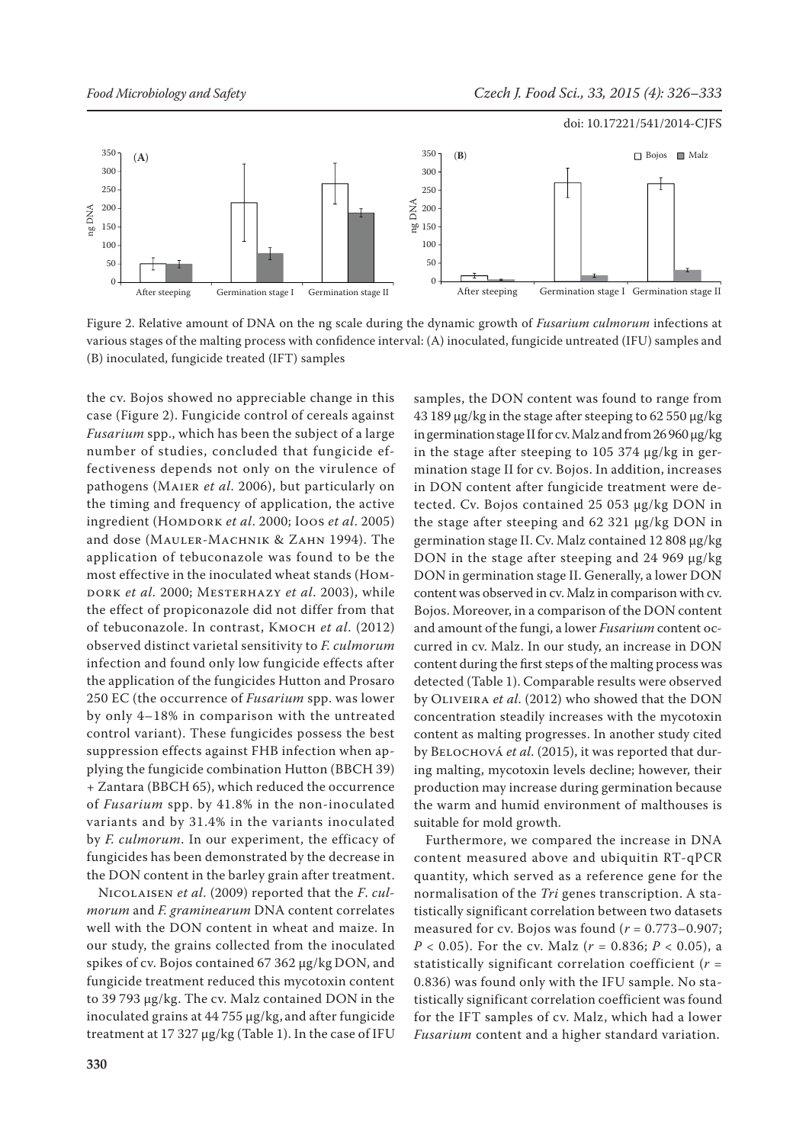

Figure 2. Relative amount of DNA on the ng scale during the dynamic growth of *Fusarium culmorum* infections at various stages of the malting process with confidence interval: (A) inoculated, fungicide untreated (IFU) samples and (B) inoculated, fungicide treated (IFT) samples

the cv. Bojos showed no appreciable change in this case (Figure 2). Fungicide control of cereals against *Fusarium* spp., which has been the subject of a large number of studies, concluded that fungicide effectiveness depends not only on the virulence of pathogens (Maier *et al*. 2006), but particularly on the timing and frequency of application, the active ingredient (Homdork *et al*. 2000; Ioos *et al*. 2005) and dose (Mauler-Machnik & Zahn 1994). The application of tebuconazole was found to be the most effective in the inoculated wheat stands (Homdork *et al*. 2000; Mesterhazy *et al*. 2003), while the effect of propiconazole did not differ from that of tebuconazole. In contrast, Kmoch *et al*. (2012) observed distinct varietal sensitivity to *F. culmorum* infection and found only low fungicide effects after the application of the fungicides Hutton and Prosaro 250 EC (the occurrence of *Fusarium* spp. was lower by only 4–18% in comparison with the untreated control variant). These fungicides possess the best suppression effects against FHB infection when applying the fungicide combination Hutton (BBCH 39) + Zantara (BBCH 65), which reduced the occurrence of *Fusarium* spp. by 41.8% in the non-inoculated variants and by 31.4% in the variants inoculated by *F. culmorum*. In our experiment, the efficacy of fungicides has been demonstrated by the decrease in the DON content in the barley grain after treatment.

Nicolaisen *et al*. (2009) reported that the *F*. *culmorum* and *F. graminearum* DNA content correlates well with the DON content in wheat and maize. In our study, the grains collected from the inoculated spikes of cv. Bojos contained 67 362 µg/kg DON, and fungicide treatment reduced this mycotoxin content to 39 793 µg/kg. The cv. Malz contained DON in the inoculated grains at 44 755 µg/kg, and after fungicide treatment at 17 327  $\mu$ g/kg (Table 1). In the case of IFU samples, the DON content was found to range from 43 189 µg/kg in the stage after steeping to 62 550 µg/kg in germination stage II for cv. Malz and from 26 960 µg/kg in the stage after steeping to 105 374 µg/kg in germination stage II for cv. Bojos. In addition, increases in DON content after fungicide treatment were detected. Cv. Bojos contained 25 053 µg/kg DON in the stage after steeping and 62 321 µg/kg DON in germination stage II. Cv. Malz contained 12 808 µg/kg DON in the stage after steeping and 24 969 µg/kg DON in germination stage II. Generally, a lower DON content was observed in cv. Malz in comparison with cv. Bojos. Moreover, in a comparison of the DON content and amount of the fungi, a lower *Fusarium* content occurred in cv. Malz. In our study, an increase in DON content during the first steps of the malting process was detected (Table 1). Comparable results were observed by Oliveira *et al*. (2012) who showed that the DON concentration steadily increases with the mycotoxin content as malting progresses. In another study cited by Belochová *et al*. (2015), it was reported that during malting, mycotoxin levels decline; however, their production may increase during germination because the warm and humid environment of malthouses is suitable for mold growth.

Furthermore, we compared the increase in DNA content measured above and ubiquitin RT-qPCR quantity, which served as a reference gene for the normalisation of the *Tri* genes transcription. A statistically significant correlation between two datasets measured for cv. Bojos was found (*r* = 0.773–0.907; *P* < 0.05). For the cv. Malz (*r* = 0.836; *P* < 0.05), a statistically significant correlation coefficient (*r* = 0.836) was found only with the IFU sample. No statistically significant correlation coefficient was found for the IFT samples of cv. Malz, which had a lower *Fusarium* content and a higher standard variation.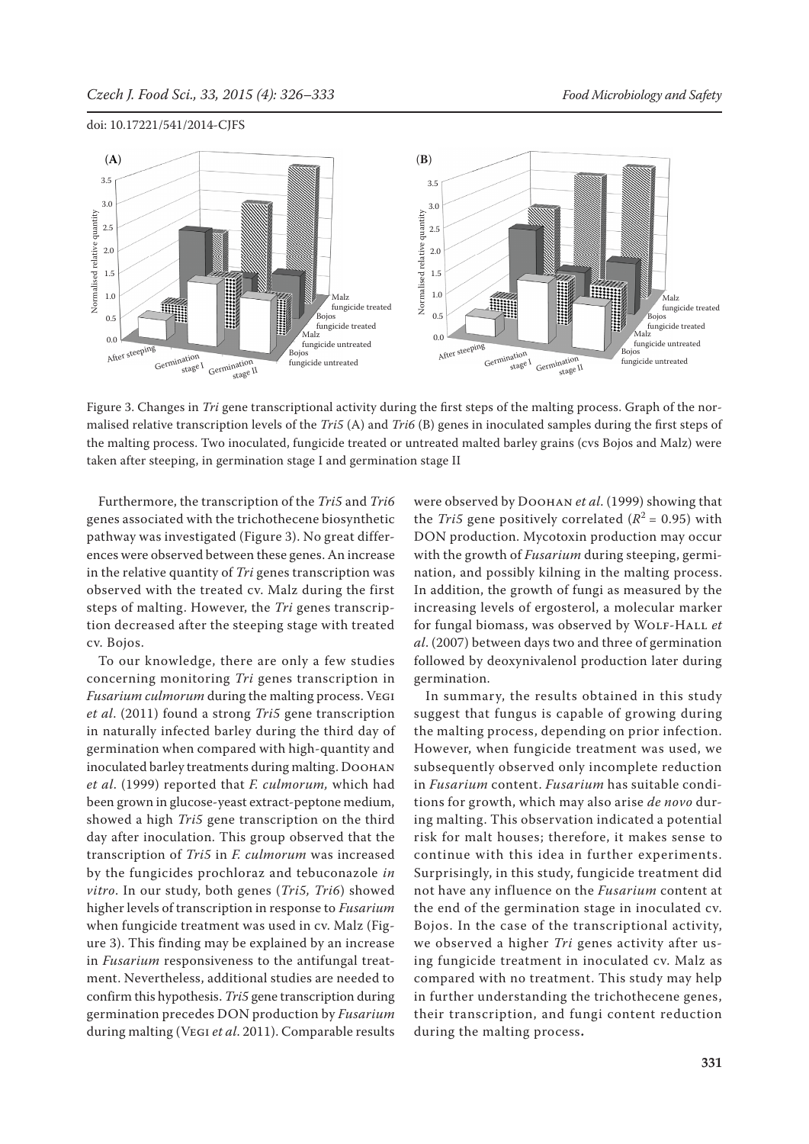

Figure 3. Changes in *Tri* gene transcriptional activity during the first steps of the malting process. Graph of the normalised relative transcription levels of the *Tri5* (A) and *Tri6* (B) genes in inoculated samples during the first steps of the malting process. Two inoculated, fungicide treated or untreated malted barley grains (cvs Bojos and Malz) were taken after steeping, in germination stage I and germination stage II

Furthermore, the transcription of the *Tri5* and *Tri6* genes associated with the trichothecene biosynthetic pathway was investigated (Figure 3). No great differences were observed between these genes. An increase in the relative quantity of *Tri* genes transcription was observed with the treated cv. Malz during the first steps of malting. However, the *Tri* genes transcription decreased after the steeping stage with treated cv. Bojos.

To our knowledge, there are only a few studies concerning monitoring *Tri* genes transcription in *Fusarium culmorum* during the malting process. Vegi *et al*. (2011) found a strong *Tri5* gene transcription in naturally infected barley during the third day of germination when compared with high-quantity and inoculated barley treatments during malting. DOOHAN *et al*. (1999) reported that *F. culmorum,* which had been grown in glucose-yeast extract-peptone medium, showed a high *Tri5* gene transcription on the third day after inoculation. This group observed that the transcription of *Tri5* in *F. culmorum* was increased by the fungicides prochloraz and tebuconazole *in vitro*. In our study, both genes (*Tri5, Tri6*) showed higher levels of transcription in response to *Fusarium* when fungicide treatment was used in cv. Malz (Figure 3). This finding may be explained by an increase in *Fusarium* responsiveness to the antifungal treatment. Nevertheless, additional studies are needed to confirm this hypothesis. *Tri5* gene transcription during germination precedes DON production by *Fusarium* during malting (Vegi *et al*. 2011). Comparable results were observed by Doohan *et al*. (1999) showing that the *Tri5* gene positively correlated  $(R^2 = 0.95)$  with DON production. Mycotoxin production may occur with the growth of *Fusarium* during steeping, germination, and possibly kilning in the malting process. In addition, the growth of fungi as measured by the increasing levels of ergosterol, a molecular marker for fungal biomass, was observed by WOLF-HALL et *al*. (2007) between days two and three of germination followed by deoxynivalenol production later during germination.

In summary, the results obtained in this study suggest that fungus is capable of growing during the malting process, depending on prior infection. However, when fungicide treatment was used, we subsequently observed only incomplete reduction in *Fusarium* content. *Fusarium* has suitable conditions for growth, which may also arise *de novo* during malting. This observation indicated a potential risk for malt houses; therefore, it makes sense to continue with this idea in further experiments. Surprisingly, in this study, fungicide treatment did not have any influence on the *Fusarium* content at the end of the germination stage in inoculated cv. Bojos. In the case of the transcriptional activity, we observed a higher *Tri* genes activity after using fungicide treatment in inoculated cv. Malz as compared with no treatment. This study may help in further understanding the trichothecene genes, their transcription, and fungi content reduction during the malting process**.**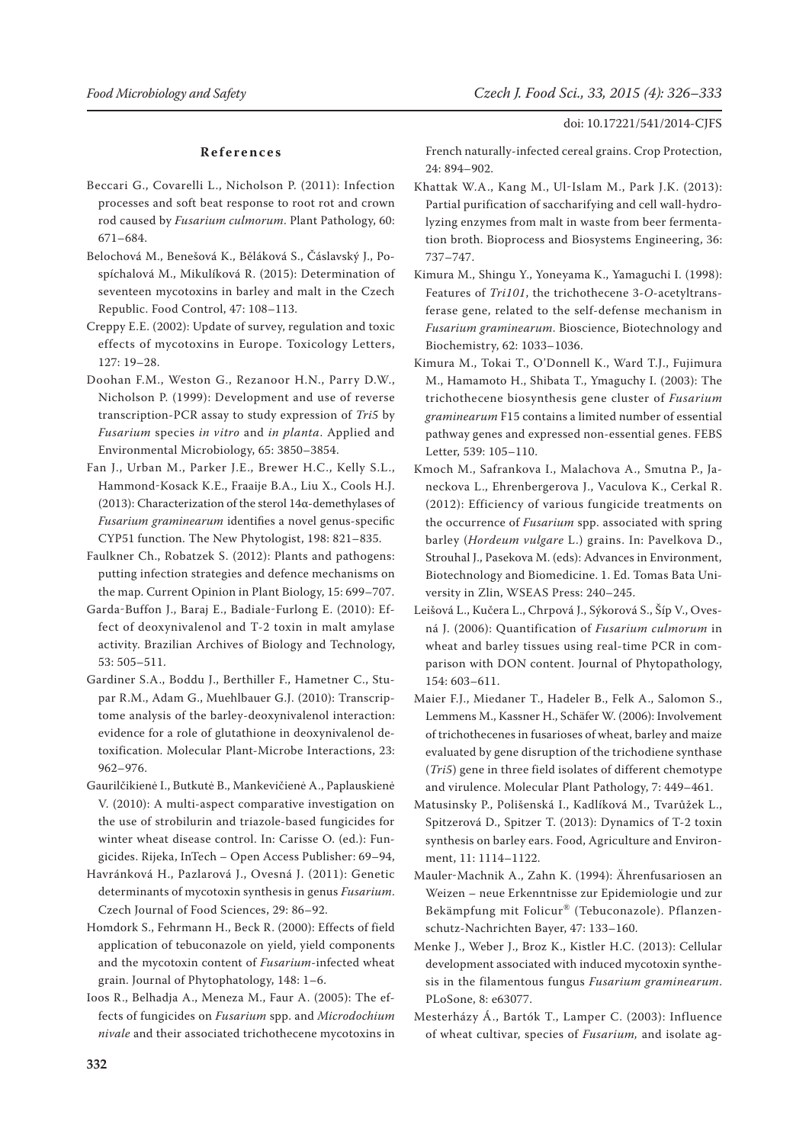#### **References**

- Beccari G., Covarelli L., Nicholson P. (2011): Infection processes and soft beat response to root rot and crown rod caused by *Fusarium culmorum*. Plant Pathology, 60: 671–684.
- Belochová M., Benešová K., Běláková S., Čáslavský J., Pospíchalová M., Mikulíková R. (2015): Determination of seventeen mycotoxins in barley and malt in the Czech Republic. Food Control, 47: 108–113.
- Creppy E.E. (2002): Update of survey, regulation and toxic effects of mycotoxins in Europe. Toxicology Letters, 127: 19–28.
- Doohan F.M., Weston G., Rezanoor H.N., Parry D.W., Nicholson P. (1999): Development and use of reverse transcription-PCR assay to study expression of *Tri5* by *Fusarium* species *in vitro* and *in planta*. Applied and Environmental Microbiology, 65: 3850–3854.
- Fan J., Urban M., Parker J.E., Brewer H.C., Kelly S.L., Hammond-Kosack K.E., Fraaije B.A., Liu X., Cools H.J. (2013): Characterization of the sterol 14α-demethylases of *Fusarium graminearum* identifies a novel genus-specific CYP51 function. The New Phytologist, 198: 821–835.
- Faulkner Ch., Robatzek S. (2012): Plants and pathogens: putting infection strategies and defence mechanisms on the map. Current Opinion in Plant Biology, 15: 699–707.
- Garda-Buffon J., Baraj E., Badiale-Furlong E. (2010): Effect of deoxynivalenol and T-2 toxin in malt amylase activity. Brazilian Archives of Biology and Technology, 53: 505–511.
- Gardiner S.A., Boddu J., Berthiller F., Hametner C., Stupar R.M., Adam G., Muehlbauer G.J. (2010): Transcriptome analysis of the barley-deoxynivalenol interaction: evidence for a role of glutathione in deoxynivalenol detoxification. Molecular Plant-Microbe Interactions, 23: 962–976.
- Gaurilčikienė I., Butkutė B., Mankevičienė A., Paplauskienė V. (2010): A multi-aspect comparative investigation on the use of strobilurin and triazole-based fungicides for winter wheat disease control. In: Carisse O. (ed.): Fungicides. Rijeka, InTech – Open Access Publisher: 69–94,
- Havránková H., Pazlarová J., Ovesná J. (2011): Genetic determinants of mycotoxin synthesis in genus *Fusarium*. Czech Journal of Food Sciences, 29: 86–92.
- Homdork S., Fehrmann H., Beck R. (2000): Effects of field application of tebuconazole on yield, yield components and the mycotoxin content of *Fusarium*-infected wheat grain. Journal of Phytophatology, 148: 1–6.
- Ioos R., Belhadja A., Meneza M., Faur A. (2005): The effects of fungicides on *Fusarium* spp. and *Microdochium nivale* and their associated trichothecene mycotoxins in

French naturally-infected cereal grains. Crop Protection, 24: 894–902.

- Khattak W.A., Kang M., Ul-Islam M., Park J.K. (2013): Partial purification of saccharifying and cell wall-hydrolyzing enzymes from malt in waste from beer fermentation broth. Bioprocess and Biosystems Engineering, 36: 737–747.
- Kimura M., Shingu Y., Yoneyama K., Yamaguchi I. (1998): Features of *Tri101*, the trichothecene 3-*O*-acetyltransferase gene, related to the self-defense mechanism in *Fusarium graminearum*. Bioscience, Biotechnology and Biochemistry, 62: 1033–1036.
- Kimura M., Tokai T., O'Donnell K., Ward T.J., Fujimura M., Hamamoto H., Shibata T., Ymaguchy I. (2003): The trichothecene biosynthesis gene cluster of *Fusarium graminearum* F15 contains a limited number of essential pathway genes and expressed non-essential genes. FEBS Letter, 539: 105–110.
- Kmoch M., Safrankova I., Malachova A., Smutna P., Janeckova L., Ehrenbergerova J., Vaculova K., Cerkal R. (2012): Efficiency of various fungicide treatments on the occurrence of *Fusarium* spp. associated with spring barley (*Hordeum vulgare* L.) grains. In: Pavelkova D., Strouhal J., Pasekova M. (eds): Advances in Environment, Biotechnology and Biomedicine. 1. Ed. Tomas Bata University in Zlin, WSEAS Press: 240–245.
- Leišová L., Kučera L., Chrpová J., Sýkorová S., Šíp V., Ovesná J. (2006): Quantification of *Fusarium culmorum* in wheat and barley tissues using real-time PCR in comparison with DON content. Journal of Phytopathology, 154: 603–611.
- Maier F.J., Miedaner T., Hadeler B., Felk A., Salomon S., Lemmens M., Kassner H., Schäfer W. (2006): Involvement of trichothecenes in fusarioses of wheat, barley and maize evaluated by gene disruption of the trichodiene synthase (*Tri5*) gene in three field isolates of different chemotype and virulence. Molecular Plant Pathology, 7: 449–461.
- Matusinsky P., Polišenská I., Kadlíková M., Tvarůžek L., Spitzerová D., Spitzer T. (2013): Dynamics of T-2 toxin synthesis on barley ears. Food, Agriculture and Environment, 11: 1114–1122.
- Mauler-Machnik A., Zahn K. (1994): Ährenfusariosen an Weizen – neue Erkenntnisse zur Epidemiologie und zur Bekämpfung mit Folicur® (Tebuconazole). Pflanzenschutz-Nachrichten Bayer, 47: 133–160.
- Menke J., Weber J., Broz K., Kistler H.C. (2013): Cellular development associated with induced mycotoxin synthesis in the filamentous fungus *Fusarium graminearum*. PLoSone, 8: e63077.
- Mesterházy Á., Bartók T., Lamper C. (2003): Influence of wheat cultivar, species of *Fusarium,* and isolate ag-